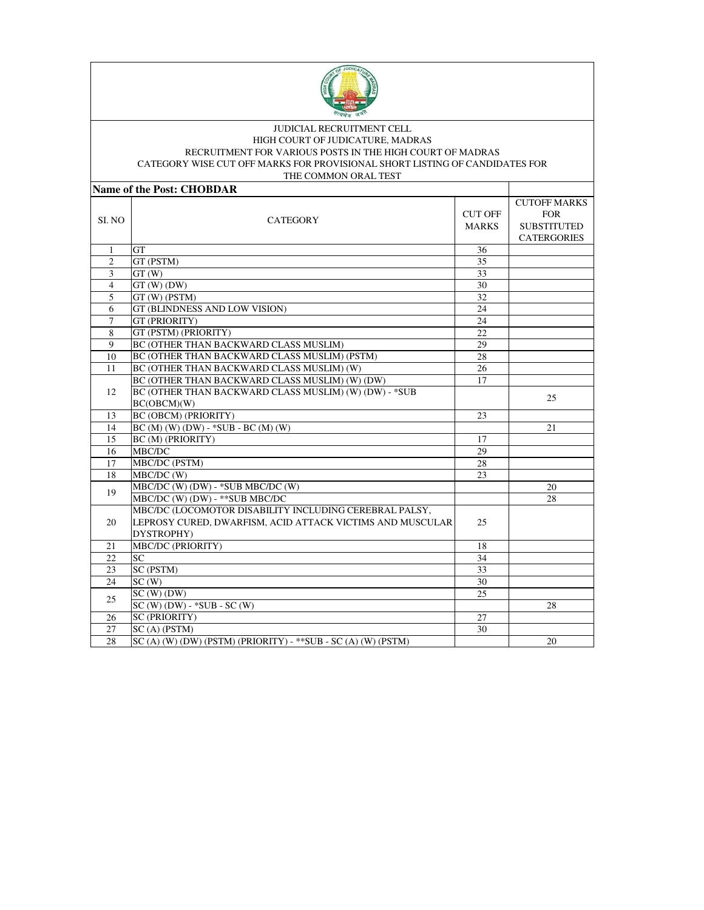

## JUDICIAL RECRUITMENT CELL HIGH COURT OF JUDICATURE, MADRAS RECRUITMENT FOR VARIOUS POSTS IN THE HIGH COURT OF MADRAS CATEGORY WISE CUT OFF MARKS FOR PROVISIONAL SHORT LISTING OF CANDIDATES FOR

| THE COMMON ORAL TEST      |                                                                                                                                   |                                |                                                                               |  |
|---------------------------|-----------------------------------------------------------------------------------------------------------------------------------|--------------------------------|-------------------------------------------------------------------------------|--|
| Name of the Post: CHOBDAR |                                                                                                                                   |                                |                                                                               |  |
| SI. NO                    | <b>CATEGORY</b>                                                                                                                   | <b>CUT OFF</b><br><b>MARKS</b> | <b>CUTOFF MARKS</b><br><b>FOR</b><br><b>SUBSTITUTED</b><br><b>CATERGORIES</b> |  |
| $\mathbf{1}$              | <b>GT</b>                                                                                                                         | 36                             |                                                                               |  |
| $\overline{c}$            | GT (PSTM)                                                                                                                         | 35                             |                                                                               |  |
| 3                         | GT(W)                                                                                                                             | 33                             |                                                                               |  |
| $\overline{4}$            | $GT(W)$ $(DW)$                                                                                                                    | 30                             |                                                                               |  |
| 5                         | $\overline{GT}$ (W) (PSTM)                                                                                                        | 32                             |                                                                               |  |
| 6                         | GT (BLINDNESS AND LOW VISION)                                                                                                     | 24                             |                                                                               |  |
| $\overline{7}$            | GT (PRIORITY)                                                                                                                     | 24                             |                                                                               |  |
| 8                         | GT (PSTM) (PRIORITY)                                                                                                              | 22                             |                                                                               |  |
| 9                         | BC (OTHER THAN BACKWARD CLASS MUSLIM)                                                                                             | 29                             |                                                                               |  |
| 10                        | BC (OTHER THAN BACKWARD CLASS MUSLIM) (PSTM)                                                                                      | 28                             |                                                                               |  |
| 11                        | BC (OTHER THAN BACKWARD CLASS MUSLIM) (W)                                                                                         | 26                             |                                                                               |  |
|                           | BC (OTHER THAN BACKWARD CLASS MUSLIM) (W) (DW)                                                                                    | 17                             |                                                                               |  |
| 12                        | BC (OTHER THAN BACKWARD CLASS MUSLIM) (W) (DW) - * SUB<br>BC(OBCM)(W)                                                             |                                | 25                                                                            |  |
| 13                        | <b>BC (OBCM) (PRIORITY)</b>                                                                                                       | 23                             |                                                                               |  |
| 14                        | $BC(M)(W)(DW) - *SUB - BC(M)(W)$                                                                                                  |                                | 21                                                                            |  |
| 15                        | BC (M) (PRIORITY)                                                                                                                 | 17                             |                                                                               |  |
| 16                        | MBC/DC                                                                                                                            | 29                             |                                                                               |  |
| 17                        | MBC/DC (PSTM)                                                                                                                     | 28                             |                                                                               |  |
| 18                        | MBC/DC (W)                                                                                                                        | 23                             |                                                                               |  |
| 19                        | MBC/DC (W) (DW) - *SUB MBC/DC (W)                                                                                                 |                                | 20                                                                            |  |
|                           | MBC/DC (W) (DW) - ** SUB MBC/DC                                                                                                   |                                | 28                                                                            |  |
| 20                        | MBC/DC (LOCOMOTOR DISABILITY INCLUDING CEREBRAL PALSY,<br>LEPROSY CURED, DWARFISM, ACID ATTACK VICTIMS AND MUSCULAR<br>DYSTROPHY) | 25                             |                                                                               |  |
| 21                        | <b>MBC/DC</b> (PRIORITY)                                                                                                          | 18                             |                                                                               |  |
| 22                        | <b>SC</b>                                                                                                                         | 34                             |                                                                               |  |
| 23                        | SC (PSTM)                                                                                                                         | 33                             |                                                                               |  |
| 24                        | SC(W)                                                                                                                             | 30                             |                                                                               |  |
| 25                        | $SC(W)$ (DW)                                                                                                                      | 25                             |                                                                               |  |
|                           | $SC(W)$ (DW) - $*SUB - SC(W)$                                                                                                     |                                | 28                                                                            |  |
| 26                        | <b>SC (PRIORITY)</b>                                                                                                              | 27                             |                                                                               |  |
| 27                        | SC(A) (PSTM)                                                                                                                      | 30                             |                                                                               |  |
| 28                        | $SC(A)$ (W) (DW) (PSTM) (PRIORITY) - **SUB - SC (A) (W) (PSTM)                                                                    |                                | 20                                                                            |  |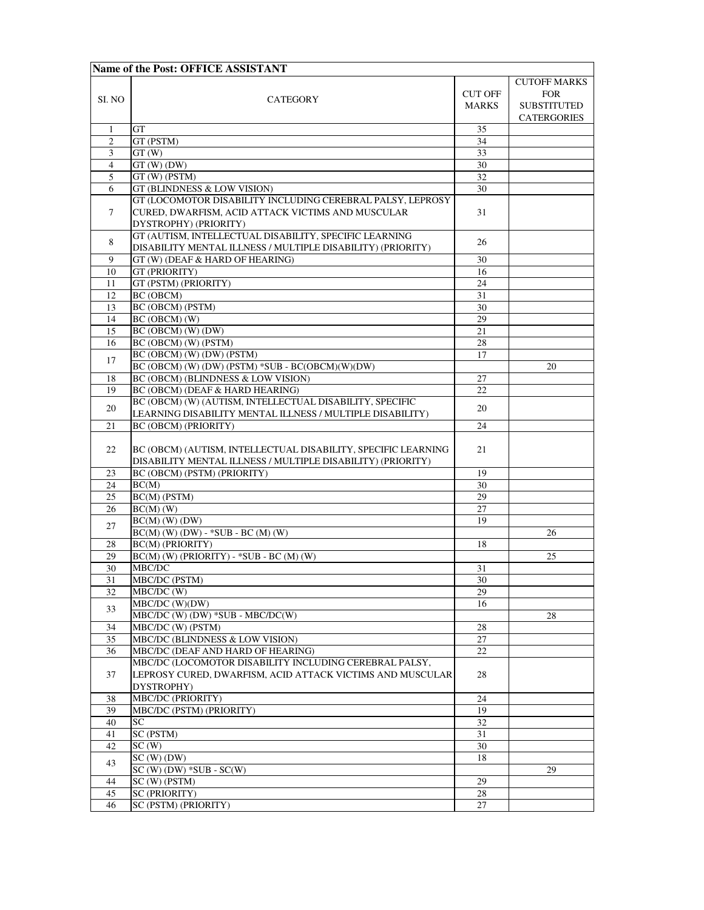| Name of the Post: OFFICE ASSISTANT |                                                                                                                                          |                                |                                                         |  |
|------------------------------------|------------------------------------------------------------------------------------------------------------------------------------------|--------------------------------|---------------------------------------------------------|--|
| SI. NO                             | <b>CATEGORY</b>                                                                                                                          | <b>CUT OFF</b><br><b>MARKS</b> | <b>CUTOFF MARKS</b><br><b>FOR</b><br><b>SUBSTITUTED</b> |  |
|                                    |                                                                                                                                          |                                | CATERGORIES                                             |  |
| 1                                  | GT                                                                                                                                       | 35                             |                                                         |  |
| 2                                  | GT (PSTM)                                                                                                                                | 34                             |                                                         |  |
| 3                                  | GT(W)                                                                                                                                    | 33                             |                                                         |  |
| $\overline{4}$                     | $GT(W)$ $(DW)$                                                                                                                           | 30                             |                                                         |  |
| 5                                  | GT (W) (PSTM)                                                                                                                            | 32                             |                                                         |  |
| 6                                  | GT (BLINDNESS & LOW VISION)                                                                                                              | 30                             |                                                         |  |
| $\tau$                             | GT (LOCOMOTOR DISABILITY INCLUDING CEREBRAL PALSY, LEPROSY<br>CURED, DWARFISM, ACID ATTACK VICTIMS AND MUSCULAR<br>DYSTROPHY) (PRIORITY) | 31                             |                                                         |  |
| 8                                  | GT (AUTISM, INTELLECTUAL DISABILITY, SPECIFIC LEARNING<br>DISABILITY MENTAL ILLNESS / MULTIPLE DISABILITY) (PRIORITY)                    | 26                             |                                                         |  |
| 9                                  | GT (W) (DEAF & HARD OF HEARING)                                                                                                          | 30                             |                                                         |  |
| 10                                 | GT (PRIORITY)                                                                                                                            | 16                             |                                                         |  |
| 11                                 | GT (PSTM) (PRIORITY)                                                                                                                     | 24                             |                                                         |  |
| 12                                 | BC (OBCM)                                                                                                                                | 31                             |                                                         |  |
| 13                                 | BC (OBCM) (PSTM)                                                                                                                         | 30                             |                                                         |  |
| 14                                 | BC (OBCM) (W)                                                                                                                            | 29                             |                                                         |  |
| 15                                 | BC (OBCM) (W) (DW)                                                                                                                       | 21                             |                                                         |  |
| 16                                 | BC (OBCM) (W) (PSTM)                                                                                                                     | 28                             |                                                         |  |
| 17                                 | BC (OBCM) (W) (DW) (PSTM)                                                                                                                | 17                             |                                                         |  |
|                                    | BC (OBCM) (W) (DW) (PSTM) *SUB - BC(OBCM)(W)(DW)                                                                                         |                                | 20                                                      |  |
| 18                                 | BC (OBCM) (BLINDNESS & LOW VISION)                                                                                                       | 27                             |                                                         |  |
| 19                                 | BC (OBCM) (DEAF & HARD HEARING)                                                                                                          | 22                             |                                                         |  |
| 20                                 | BC (OBCM) (W) (AUTISM, INTELLECTUAL DISABILITY, SPECIFIC<br>LEARNING DISABILITY MENTAL ILLNESS / MULTIPLE DISABILITY)                    | 20                             |                                                         |  |
| 21                                 | <b>BC (OBCM) (PRIORITY)</b>                                                                                                              | 24                             |                                                         |  |
| 22                                 | BC (OBCM) (AUTISM, INTELLECTUAL DISABILITY, SPECIFIC LEARNING<br>DISABILITY MENTAL ILLNESS / MULTIPLE DISABILITY) (PRIORITY)             | 21                             |                                                         |  |
| 23                                 | BC (OBCM) (PSTM) (PRIORITY)                                                                                                              | 19                             |                                                         |  |
| 24                                 | BC(M)                                                                                                                                    | 30                             |                                                         |  |
| 25                                 | BC(M) (PSTM)                                                                                                                             | 29                             |                                                         |  |
| 26                                 | $BC(M)$ (W)                                                                                                                              | 27                             |                                                         |  |
| 27                                 | $BC(M)$ (W) (DW)                                                                                                                         | 19                             |                                                         |  |
|                                    | $BC(M)$ (W) (DW) - *SUB - BC (M) (W)                                                                                                     |                                | 26                                                      |  |
| 28                                 | <b>BC(M) (PRIORITY)</b>                                                                                                                  | 18                             |                                                         |  |
| 29                                 | BC(M) (W) (PRIORITY) - *SUB - BC (M) (W)                                                                                                 |                                | 25                                                      |  |
| 30                                 | MBC/DC                                                                                                                                   | 31                             |                                                         |  |
| $\overline{31}$                    | MBC/DC (PSTM)                                                                                                                            | 30                             |                                                         |  |
| 32                                 | MBC/DC (W)                                                                                                                               | 29                             |                                                         |  |
| 33                                 | MBC/DC (W)(DW)                                                                                                                           | 16                             |                                                         |  |
|                                    | MBC/DC (W) (DW) *SUB - MBC/DC(W)                                                                                                         |                                | 28                                                      |  |
| 34                                 | MBC/DC (W) (PSTM)<br>MBC/DC (BLINDNESS & LOW VISION)                                                                                     | 28                             |                                                         |  |
| 35<br>36                           | MBC/DC (DEAF AND HARD OF HEARING)                                                                                                        | 27<br>22                       |                                                         |  |
|                                    | MBC/DC (LOCOMOTOR DISABILITY INCLUDING CEREBRAL PALSY,                                                                                   |                                |                                                         |  |
| 37                                 | LEPROSY CURED, DWARFISM, ACID ATTACK VICTIMS AND MUSCULAR<br>DYSTROPHY)                                                                  | 28                             |                                                         |  |
| 38                                 | <b>MBC/DC (PRIORITY)</b>                                                                                                                 | 24                             |                                                         |  |
| 39                                 | MBC/DC (PSTM) (PRIORITY)                                                                                                                 | 19                             |                                                         |  |
| 40                                 | SC                                                                                                                                       | 32                             |                                                         |  |
| 41                                 | SC (PSTM)                                                                                                                                | 31                             |                                                         |  |
| 42                                 | SC(W)                                                                                                                                    | 30                             |                                                         |  |
|                                    | $SC(W)$ (DW)                                                                                                                             | 18                             |                                                         |  |
| 43                                 | $SC(W)$ (DW) $*SUB - SC(W)$                                                                                                              |                                | 29                                                      |  |
| 44                                 | SC(W) (PSTM)                                                                                                                             | 29                             |                                                         |  |
| 45                                 | <b>SC (PRIORITY)</b>                                                                                                                     | 28                             |                                                         |  |
| 46                                 | SC (PSTM) (PRIORITY)                                                                                                                     | 27                             |                                                         |  |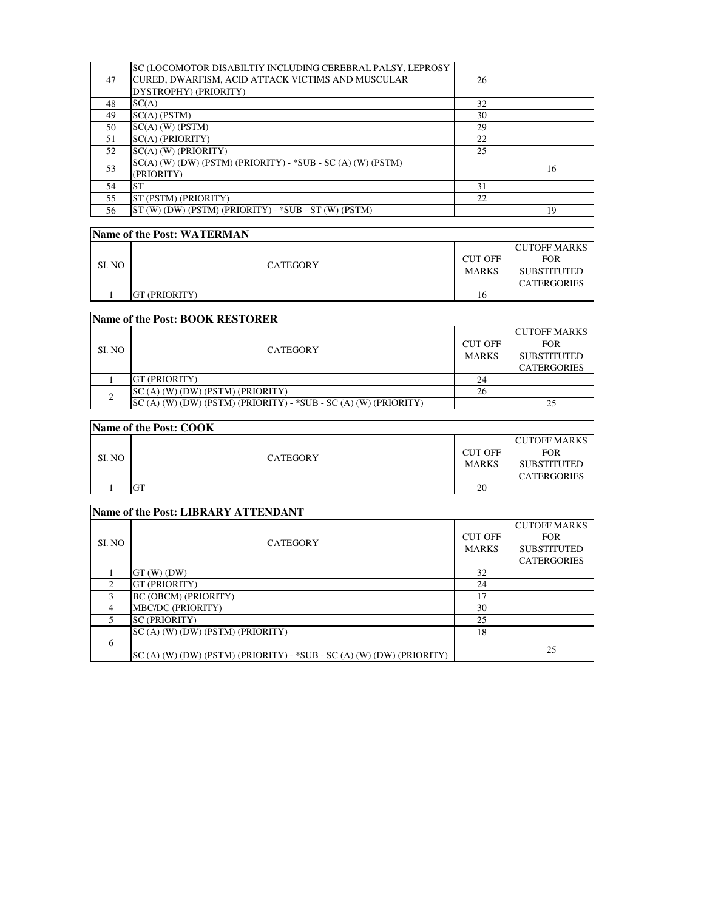| 47 | SC (LOCOMOTOR DISABILTIY INCLUDING CEREBRAL PALSY, LEPROSY<br>CURED, DWARFISM, ACID ATTACK VICTIMS AND MUSCULAR<br>DYSTROPHY) (PRIORITY) | 26 |    |
|----|------------------------------------------------------------------------------------------------------------------------------------------|----|----|
| 48 | SC(A)                                                                                                                                    | 32 |    |
| 49 | $SC(A)$ (PSTM)                                                                                                                           | 30 |    |
| 50 | $SC(A)$ (W) (PSTM)                                                                                                                       | 29 |    |
| 51 | SC(A) (PRIORITY)                                                                                                                         | 22 |    |
| 52 | $SC(A)$ (W) (PRIORITY)                                                                                                                   | 25 |    |
| 53 | $SC(A)$ (W) (DW) (PSTM) (PRIORITY) - *SUB - SC (A) (W) (PSTM)<br>(PRIORITY)                                                              |    | 16 |
| 54 | <b>ST</b>                                                                                                                                | 31 |    |
| 55 | <b>ST (PSTM) (PRIORITY)</b>                                                                                                              | 22 |    |
| 56 | ST (W) (DW) (PSTM) (PRIORITY) - *SUB - ST (W) (PSTM)                                                                                     |    | 19 |

| Name of the Post: WATERMAN      |                      |                         |                                                                               |  |
|---------------------------------|----------------------|-------------------------|-------------------------------------------------------------------------------|--|
| SI. NO                          | <b>CATEGORY</b>      | CUT OFF<br><b>MARKS</b> | <b>CUTOFF MARKS</b><br><b>FOR</b><br><b>SUBSTITUTED</b><br><b>CATERGORIES</b> |  |
|                                 | <b>GT (PRIORITY)</b> | 16                      |                                                                               |  |
| Name of the Dost. ROOK DESTODED |                      |                         |                                                                               |  |

| <b>IName of the Post: BOOK RESTORER</b> |                                                                   |                |                                   |  |
|-----------------------------------------|-------------------------------------------------------------------|----------------|-----------------------------------|--|
| SL NO                                   | <b>CATEGORY</b>                                                   | <b>CUT OFF</b> | <b>CUTOFF MARKS</b><br><b>FOR</b> |  |
|                                         |                                                                   | <b>MARKS</b>   | <b>SUBSTITUTED</b>                |  |
|                                         |                                                                   |                | <b>CATERGORIES</b>                |  |
|                                         | <b>IGT (PRIORITY)</b>                                             | 24             |                                   |  |
|                                         | SC (A) (W) (DW) (PSTM) (PRIORITY)                                 | 26             |                                   |  |
|                                         | $SC(A)$ (W) (DW) (PSTM) (PRIORITY) - *SUB - SC (A) (W) (PRIORITY) |                | 25                                |  |

| Name of the Post: COOK |                 |                                |                                                                               |  |
|------------------------|-----------------|--------------------------------|-------------------------------------------------------------------------------|--|
| SI. NO                 | <b>CATEGORY</b> | <b>CUT OFF</b><br><b>MARKS</b> | <b>CUTOFF MARKS</b><br><b>FOR</b><br><b>SUBSTITUTED</b><br><b>CATERGORIES</b> |  |
|                        |                 | 20                             |                                                                               |  |

| <b>Name of the Post: LIBRARY ATTENDANT</b> |                                                                        |                                |                                                         |
|--------------------------------------------|------------------------------------------------------------------------|--------------------------------|---------------------------------------------------------|
| SI. NO                                     | <b>CATEGORY</b>                                                        | <b>CUT OFF</b><br><b>MARKS</b> | <b>CUTOFF MARKS</b><br><b>FOR</b><br><b>SUBSTITUTED</b> |
|                                            |                                                                        |                                | <b>CATERGORIES</b>                                      |
|                                            | $GT(W)$ (DW)                                                           | 32                             |                                                         |
| 2                                          | GT (PRIORITY)                                                          | 24                             |                                                         |
| 3                                          | <b>BC (OBCM) (PRIORITY)</b>                                            | 17                             |                                                         |
| 4                                          | MBC/DC (PRIORITY)                                                      | 30                             |                                                         |
|                                            | <b>SC (PRIORITY)</b>                                                   | 25                             |                                                         |
|                                            | SC (A) (W) (DW) (PSTM) (PRIORITY)                                      | 18                             |                                                         |
| 6                                          | $SC(A)$ (W) (DW) (PSTM) (PRIORITY) - *SUB - SC (A) (W) (DW) (PRIORITY) |                                | 25                                                      |